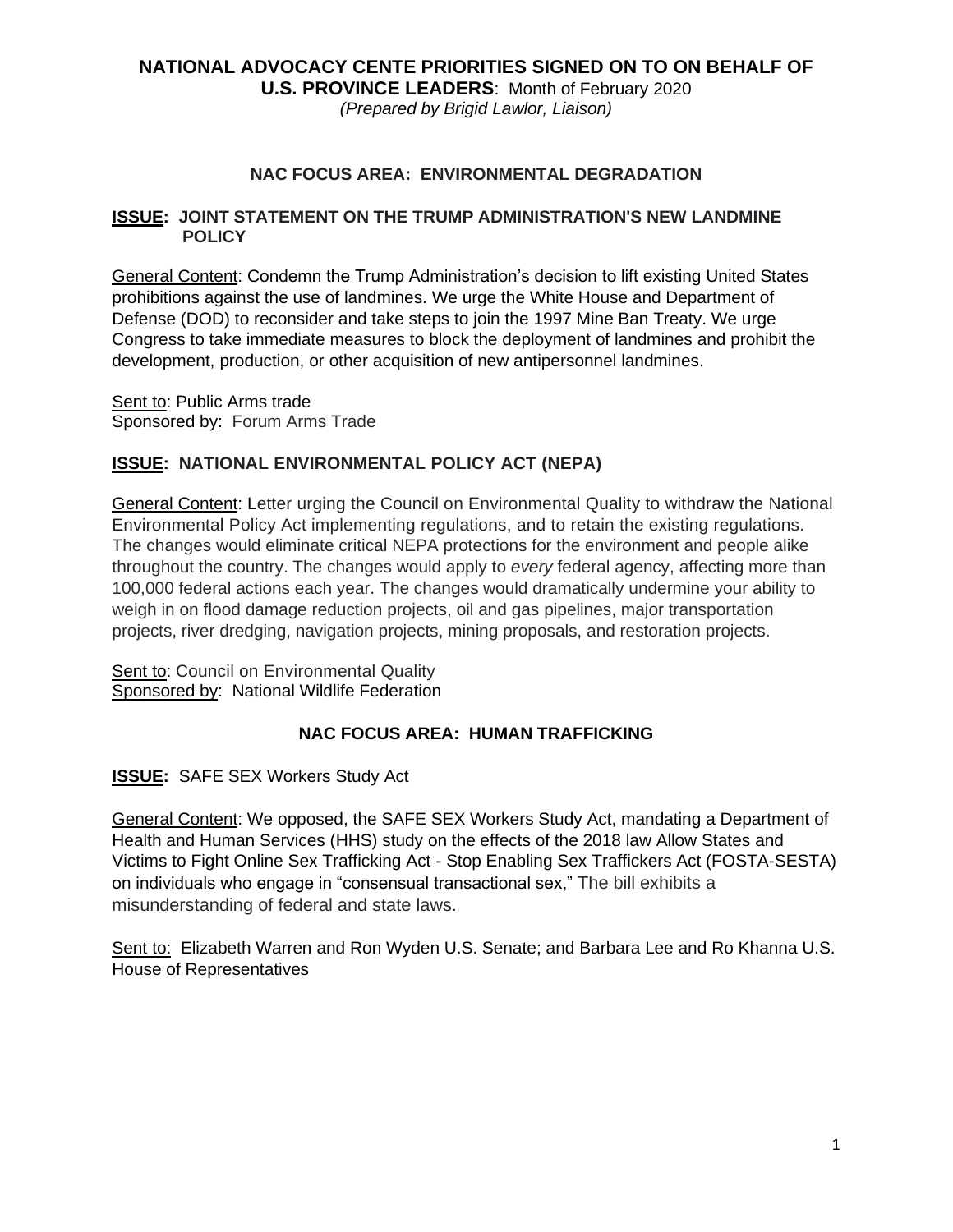# **NATIONAL ADVOCACY CENTE PRIORITIES SIGNED ON TO ON BEHALF OF U.S. PROVINCE LEADERS**: Month of February 2020

*(Prepared by Brigid Lawlor, Liaison)*

#### **NAC FOCUS AREA: ENVIRONMENTAL DEGRADATION**

#### **ISSUE: JOINT STATEMENT ON THE TRUMP ADMINISTRATION'S NEW LANDMINE POLICY**

General Content: Condemn the Trump Administration's decision to lift existing United States prohibitions against the use of landmines. We urge the White House and Department of Defense (DOD) to reconsider and take steps to join the 1997 Mine Ban Treaty. We urge Congress to take immediate measures to block the deployment of landmines and prohibit the development, production, or other acquisition of new antipersonnel landmines.

Sent to: Public Arms trade Sponsored by: Forum Arms Trade

#### **ISSUE: NATIONAL ENVIRONMENTAL POLICY ACT (NEPA)**

General Content: Letter urging the Council on Environmental Quality to withdraw the National Environmental Policy Act implementing regulations, and to retain the existing regulations. The changes would eliminate critical NEPA protections for the environment and people alike throughout the country. The changes would apply to *every* federal agency, affecting more than 100,000 federal actions each year. The changes would dramatically undermine your ability to weigh in on flood damage reduction projects, oil and gas pipelines, major transportation projects, river dredging, navigation projects, mining proposals, and restoration projects.

Sent to: Council on Environmental Quality Sponsored by: National Wildlife Federation

#### **NAC FOCUS AREA: HUMAN TRAFFICKING**

**ISSUE:** SAFE SEX Workers Study Act

General Content: We opposed, the SAFE SEX Workers Study Act, mandating a Department of Health and Human Services (HHS) study on the effects of the 2018 law Allow States and Victims to Fight Online Sex Trafficking Act - Stop Enabling Sex Traffickers Act (FOSTA-SESTA) on individuals who engage in "consensual transactional sex," The bill exhibits a misunderstanding of federal and state laws.

Sent to: Elizabeth Warren and Ron Wyden U.S. Senate; and Barbara Lee and Ro Khanna U.S. House of Representatives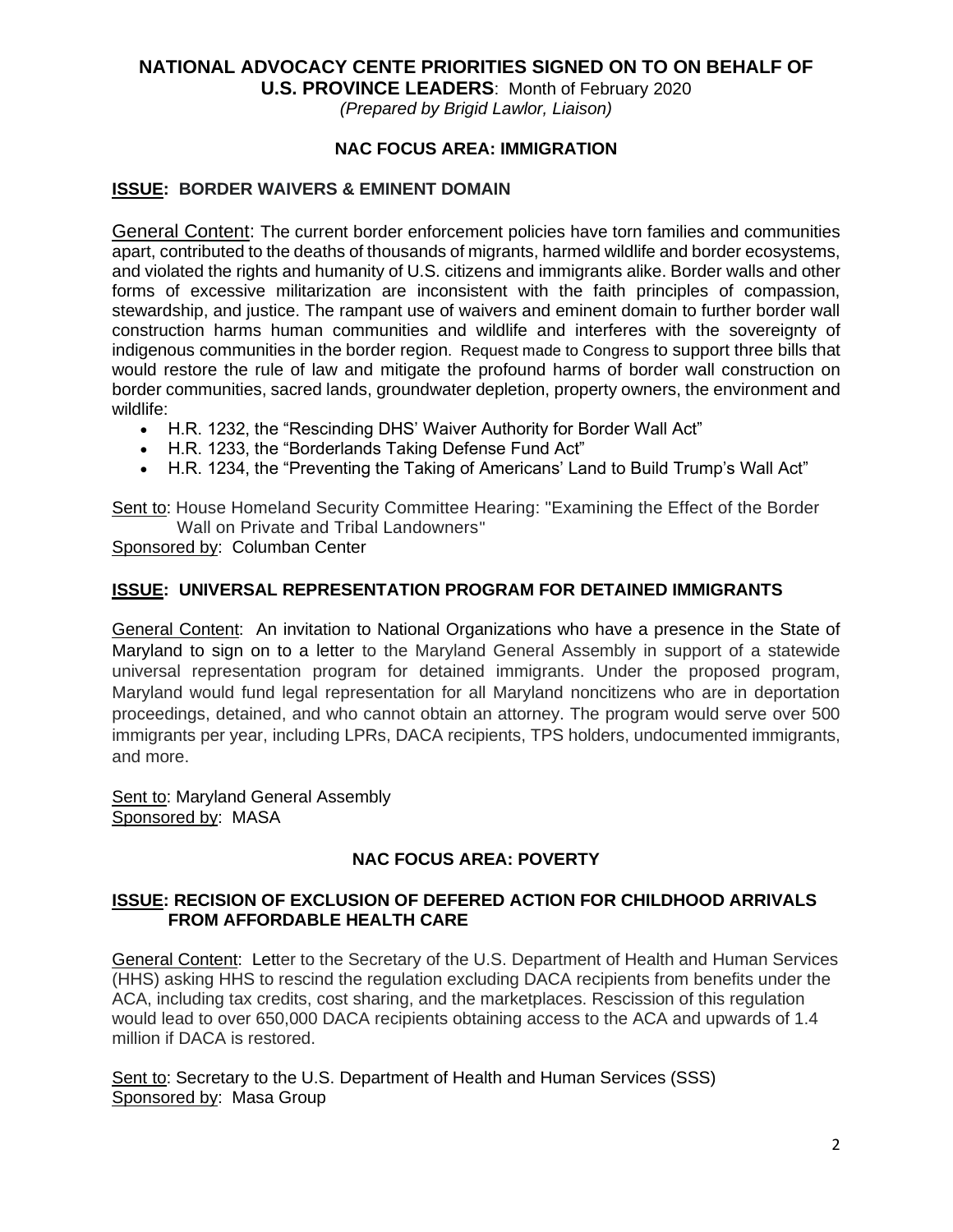# **NATIONAL ADVOCACY CENTE PRIORITIES SIGNED ON TO ON BEHALF OF**

**U.S. PROVINCE LEADERS**: Month of February 2020

*(Prepared by Brigid Lawlor, Liaison)*

#### **NAC FOCUS AREA: IMMIGRATION**

#### **ISSUE: BORDER WAIVERS & EMINENT DOMAIN**

General Content: The current border enforcement policies have torn families and communities apart, contributed to the deaths of thousands of migrants, harmed wildlife and border ecosystems, and violated the rights and humanity of U.S. citizens and immigrants alike. Border walls and other forms of excessive militarization are inconsistent with the faith principles of compassion, stewardship, and justice. The rampant use of waivers and eminent domain to further border wall construction harms human communities and wildlife and interferes with the sovereignty of indigenous communities in the border region. Request made to Congress to support three bills that would restore the rule of law and mitigate the profound harms of border wall construction on border communities, sacred lands, groundwater depletion, property owners, the environment and wildlife:

- H.R. 1232, the "Rescinding DHS' Waiver Authority for Border Wall Act"
- H.R. 1233, the "Borderlands Taking Defense Fund Act"
- H.R. 1234, the "Preventing the Taking of Americans' Land to Build Trump's Wall Act"

Sent to: House Homeland Security Committee Hearing: "Examining the Effect of the Border Wall on Private and Tribal Landowners"

Sponsored by: Columban Center

#### **ISSUE: UNIVERSAL REPRESENTATION PROGRAM FOR DETAINED IMMIGRANTS**

General Content: An invitation to National Organizations who have a presence in the State of Maryland to sign on to a letter to the Maryland General Assembly in support of a statewide universal representation program for detained immigrants. Under the proposed program, Maryland would fund legal representation for all Maryland noncitizens who are in deportation proceedings, detained, and who cannot obtain an attorney. The program would serve over 500 immigrants per year, including LPRs, DACA recipients, TPS holders, undocumented immigrants, and more.

Sent to: Maryland General Assembly Sponsored by: MASA

## **NAC FOCUS AREA: POVERTY**

#### **ISSUE: RECISION OF EXCLUSION OF DEFERED ACTION FOR CHILDHOOD ARRIVALS FROM AFFORDABLE HEALTH CARE**

General Content: Letter to the Secretary of the U.S. Department of Health and Human Services (HHS) asking HHS to rescind the regulation excluding DACA recipients from benefits under the ACA, including tax credits, cost sharing, and the marketplaces. Rescission of this regulation would lead to over 650,000 DACA recipients obtaining access to the ACA and upwards of 1.4 million if DACA is restored.

Sent to: Secretary to the U.S. Department of Health and Human Services (SSS) Sponsored by: Masa Group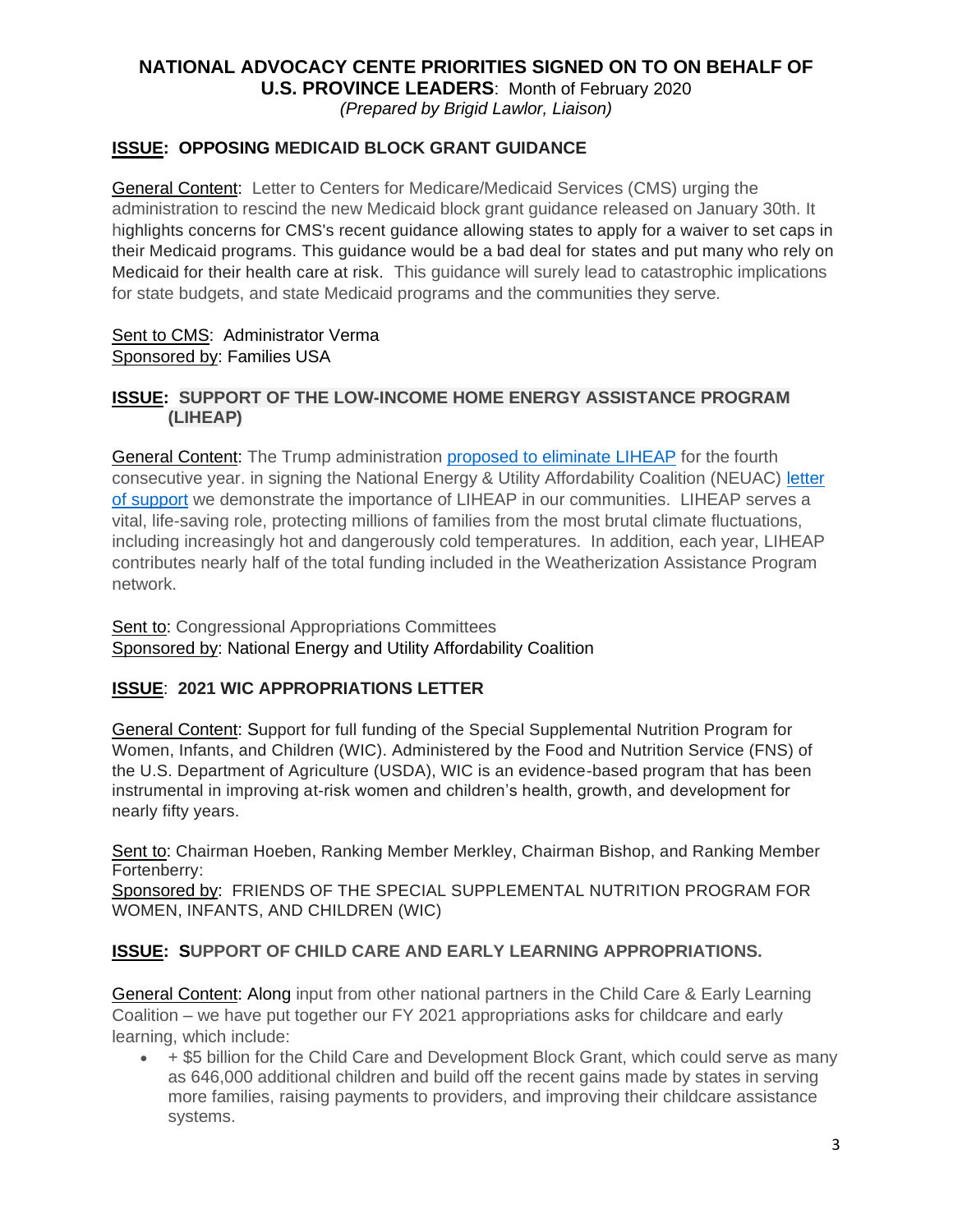# **NATIONAL ADVOCACY CENTE PRIORITIES SIGNED ON TO ON BEHALF OF**

**U.S. PROVINCE LEADERS**: Month of February 2020 *(Prepared by Brigid Lawlor, Liaison)*

## **ISSUE: OPPOSING MEDICAID BLOCK GRANT GUIDANCE**

General Content: Letter to Centers for Medicare/Medicaid Services (CMS) urging the administration to rescind the new Medicaid block grant guidance released on January 30th. It highlights concerns for CMS's recent guidance allowing states to apply for a waiver to set caps in their Medicaid programs. This guidance would be a bad deal for states and put many who rely on Medicaid for their health care at risk. This guidance will surely lead to catastrophic implications for state budgets, and state Medicaid programs and the communities they serve*.* 

#### Sent to CMS: Administrator Verma Sponsored by: Families USA

#### **ISSUE: SUPPORT OF THE LOW-INCOME HOME ENERGY ASSISTANCE PROGRAM (LIHEAP)**

General Content: The Trump administration [proposed to eliminate LIHEAP](https://u1584542.ct.sendgrid.net/mps2/c/CQE/ni0YAA/t.2ze/gxMRFEavTvq6bazM9FR-ng/h5/mWyRKaXIWfhDU8LBPUNGr9YrZiZ4TPJfGVNCOr1FNMiBZdbTZyXXfH7J83NR7diGZlqSAgJjuGdYiYZbwnUn2O8UgTUmvvh640L80J-2BkDpXWpg4BBwJFs7C1MqIJ5-2F8sU-2Fi66Y7IpCHLH6l19aK7lGw1mEBu6W6nsDMpvJAsm5-2FsZ-2BtdQHRHhfRgGV-2FwQj-2Feeetvl69fO-2FYvQFQZSMwgvLmY6h87K3b6cL4F-2FG1h0bZ1-2Fu9NzZezdX5ze58gDdON50XWtLtSWn8hv68-2FnysGKhVdx7hfq6vmsvZMYePvHnHTy1JnZYn0sGvhdADEpvPsjP6upF2r6oEIpKO6ZO9ibBrY0bulNdg0OUSDKWUx4JD5G3v13MDu65q-2FHdJ0oD2wxOFXqK6L8ErGM0Rezj9Y8w-3D-3D/d1Ef) for the fourth consecutive year. in signing the National Energy & Utility Affordability Coalition (NEUAC) letter [of support](https://u1584542.ct.sendgrid.net/mps2/c/CQE/ni0YAA/t.2ze/gxMRFEavTvq6bazM9FR-ng/h6/wAy6vzAB-2FRTIZ-2F8F9CD8ZeVA8Y2zkXJwq-2F7WNKX5bI5vlfWtwziW5wiPVV8BgyIRKCXjjmDWuNtWCA-2BqKkg2dkPgTXQLNqNCsdTyVBAu-2FPTDiTPHVoom8lEZlcfKNxBA5X7k9OpVHL3uis4aLOT6t3onaVOMWtT8hnGEP3lF7ptfRo7i3M4qWnl58FSjk6Kq1-2Fsyu0Q-2FbjrFfm3McwBjo6yt37sfATN-2F1c-2BaOCnMbz99XJuGdTNyrq4DIZ0ur2-2BFfZRu6KktPkqgpCTECKhNCYqajIr-2BDToM6HNVyeymEiU2VZbzBUwj6FC3udX2um3q1hgwJcfi7iiNZts-2FHDCnRRHkK7WXMRPSIMSbWfHted0-3D/aN5J) we demonstrate the importance of LIHEAP in our communities. LIHEAP serves a vital, life-saving role, protecting millions of families from the most brutal climate fluctuations, including increasingly hot and dangerously cold temperatures. In addition, each year, LIHEAP contributes nearly half of the total funding included in the Weatherization Assistance Program network.

Sent to: Congressional Appropriations Committees Sponsored by: National Energy and Utility Affordability Coalition

#### **ISSUE**: **2021 WIC APPROPRIATIONS LETTER**

General Content: Support for full funding of the Special Supplemental Nutrition Program for Women, Infants, and Children (WIC). Administered by the Food and Nutrition Service (FNS) of the U.S. Department of Agriculture (USDA), WIC is an evidence-based program that has been instrumental in improving at-risk women and children's health, growth, and development for nearly fifty years.

Sent to: Chairman Hoeben, Ranking Member Merkley, Chairman Bishop, and Ranking Member Fortenberry:

Sponsored by: FRIENDS OF THE SPECIAL SUPPLEMENTAL NUTRITION PROGRAM FOR WOMEN, INFANTS, AND CHILDREN (WIC)

#### **ISSUE: SUPPORT OF CHILD CARE AND EARLY LEARNING APPROPRIATIONS.**

General Content: Along input from other national partners in the Child Care & Early Learning Coalition – we have put together our FY 2021 appropriations asks for childcare and early learning, which include:

• + \$5 billion for the Child Care and Development Block Grant, which could serve as many as 646,000 additional children and build off the recent gains made by states in serving more families, raising payments to providers, and improving their childcare assistance systems.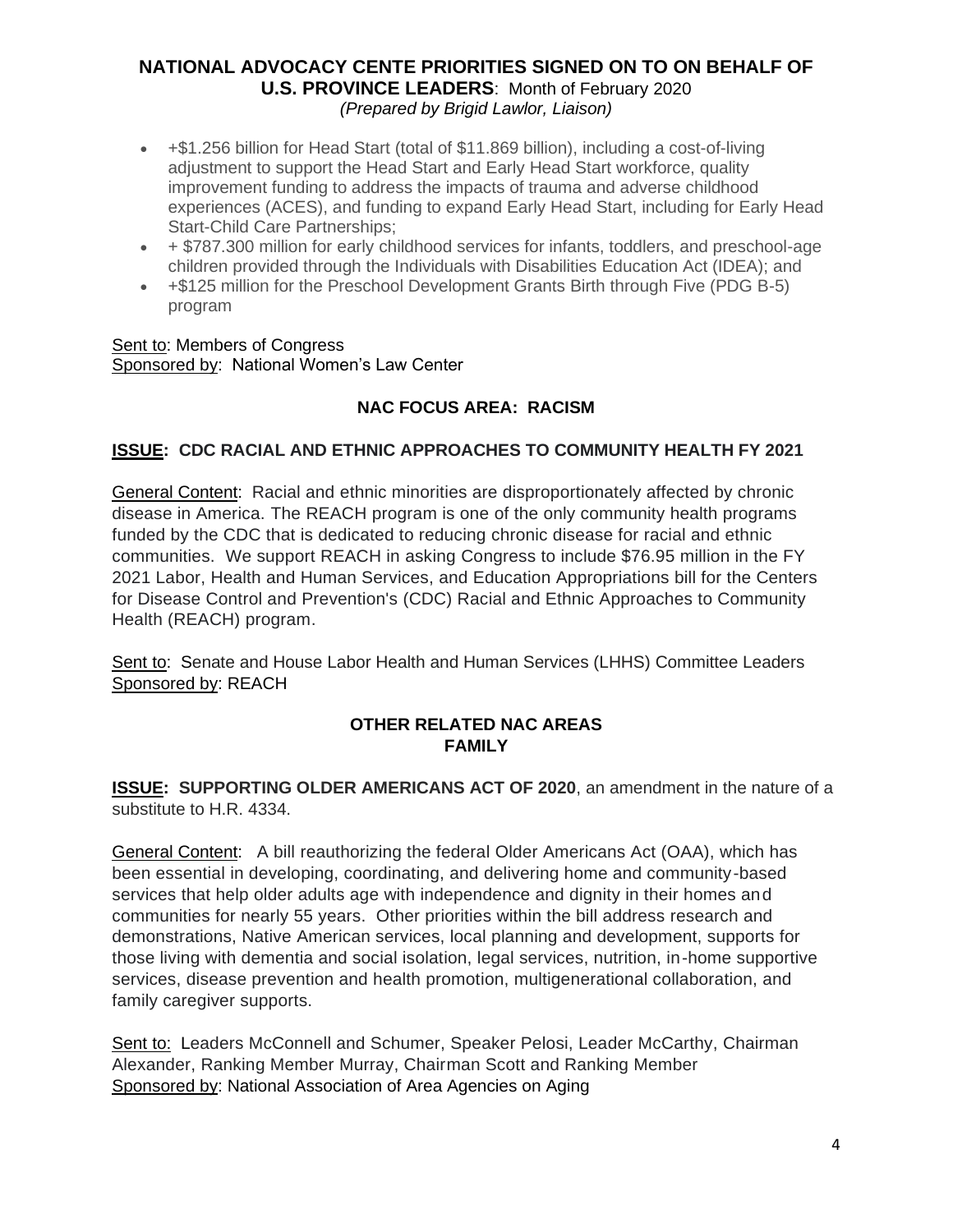# **NATIONAL ADVOCACY CENTE PRIORITIES SIGNED ON TO ON BEHALF OF U.S. PROVINCE LEADERS**: Month of February 2020 *(Prepared by Brigid Lawlor, Liaison)*

- +\$1.256 billion for Head Start (total of \$11.869 billion), including a cost-of-living adjustment to support the Head Start and Early Head Start workforce, quality improvement funding to address the impacts of trauma and adverse childhood experiences (ACES), and funding to expand Early Head Start, including for Early Head Start-Child Care Partnerships;
- + \$787.300 million for early childhood services for infants, toddlers, and preschool-age children provided through the Individuals with Disabilities Education Act (IDEA); and
- +\$125 million for the Preschool Development Grants Birth through Five (PDG B-5) program

#### Sent to: Members of Congress Sponsored by: National Women's Law Center

# **NAC FOCUS AREA: RACISM**

## **ISSUE: CDC RACIAL AND ETHNIC APPROACHES TO COMMUNITY HEALTH FY 2021**

General Content: Racial and ethnic minorities are disproportionately affected by chronic disease in America. The REACH program is one of the only community health programs funded by the CDC that is dedicated to reducing chronic disease for racial and ethnic communities. We support REACH in asking Congress to include \$76.95 million in the FY 2021 Labor, Health and Human Services, and Education Appropriations bill for the Centers for Disease Control and Prevention's (CDC) Racial and Ethnic Approaches to Community Health (REACH) program.

Sent to: Senate and House Labor Health and Human Services (LHHS) Committee Leaders Sponsored by: REACH

## **OTHER RELATED NAC AREAS FAMILY**

**ISSUE: SUPPORTING OLDER AMERICANS ACT OF 2020**, an amendment in the nature of a substitute to H.R. 4334.

General Content: A bill reauthorizing the federal Older Americans Act (OAA), which has been essential in developing, coordinating, and delivering home and community-based services that help older adults age with independence and dignity in their homes and communities for nearly 55 years. Other priorities within the bill address research and demonstrations, Native American services, local planning and development, supports for those living with dementia and social isolation, legal services, nutrition, in-home supportive services, disease prevention and health promotion, multigenerational collaboration, and family caregiver supports.

Sent to: Leaders McConnell and Schumer, Speaker Pelosi, Leader McCarthy, Chairman Alexander, Ranking Member Murray, Chairman Scott and Ranking Member Sponsored by: National Association of Area Agencies on Aging